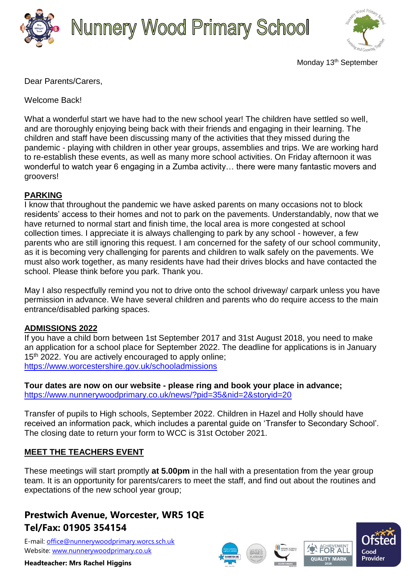

# **Nunnery Wood Primary School**



Monday 13<sup>th</sup> September

Dear Parents/Carers,

Welcome Back!

What a wonderful start we have had to the new school year! The children have settled so well, and are thoroughly enjoying being back with their friends and engaging in their learning. The children and staff have been discussing many of the activities that they missed during the pandemic - playing with children in other year groups, assemblies and trips. We are working hard to re-establish these events, as well as many more school activities. On Friday afternoon it was wonderful to watch year 6 engaging in a Zumba activity… there were many fantastic movers and groovers!

## **PARKING**

I know that throughout the pandemic we have asked parents on many occasions not to block residents' access to their homes and not to park on the pavements. Understandably, now that we have returned to normal start and finish time, the local area is more congested at school collection times. I appreciate it is always challenging to park by any school - however, a few parents who are still ignoring this request. I am concerned for the safety of our school community, as it is becoming very challenging for parents and children to walk safely on the pavements. We must also work together, as many residents have had their drives blocks and have contacted the school. Please think before you park. Thank you.

May I also respectfully remind you not to drive onto the school driveway/ carpark unless you have permission in advance. We have several children and parents who do require access to the main entrance/disabled parking spaces.

### **ADMISSIONS 2022**

If you have a child born between 1st September 2017 and 31st August 2018, you need to make an application for a school place for September 2022. The deadline for applications is in January 15<sup>th</sup> 2022. You are actively encouraged to apply online; <https://www.worcestershire.gov.uk/schooladmissions>

**Tour dates are now on our website - please ring and book your place in advance;** <https://www.nunnerywoodprimary.co.uk/news/?pid=35&nid=2&storyid=20>

Transfer of pupils to High schools, September 2022. Children in Hazel and Holly should have received an information pack, which includes a parental guide on 'Transfer to Secondary School'. The closing date to return your form to WCC is 31st October 2021.

### **MEET THE TEACHERS EVENT**

These meetings will start promptly **at 5.00pm** in the hall with a presentation from the year group team. It is an opportunity for parents/carers to meet the staff, and find out about the routines and expectations of the new school year group;

## **Prestwich Avenue, Worcester, WR5 1QE Tel/Fax: 01905 354154**

E-mail: [office@nunnerywoodprimary.worcs.sch.uk](mailto:office@nunnerywoodprimary.worcs.sch.uk) Website: [www.nunnerywoodprimary.co.uk](http://www.nunnerywoodprimary.worcs.sch.uk/)







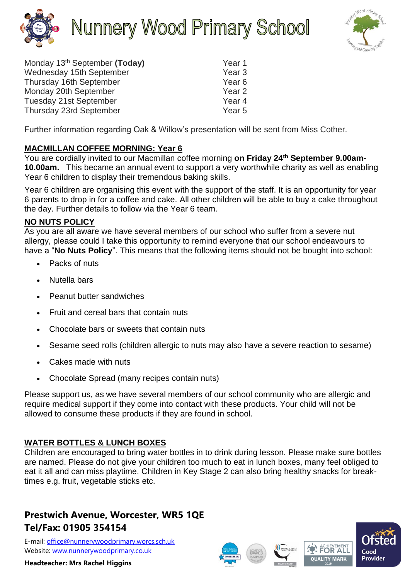



| Monday 13 <sup>th</sup> September (Today) | Year 1            |
|-------------------------------------------|-------------------|
| Wednesday 15th September                  | Year <sub>3</sub> |
| Thursday 16th September                   | Year <sub>6</sub> |
| Monday 20th September                     | Year <sub>2</sub> |
| Tuesday 21st September                    | Year <sub>4</sub> |
| Thursday 23rd September                   | Year <sub>5</sub> |

Further information regarding Oak & Willow's presentation will be sent from Miss Cother.

### **MACMILLAN COFFEE MORNING: Year 6**

You are cordially invited to our Macmillan coffee morning **on Friday 24th September 9.00am-10.00am.** This became an annual event to support a very worthwhile charity as well as enabling Year 6 children to display their tremendous baking skills.

Year 6 children are organising this event with the support of the staff. It is an opportunity for year 6 parents to drop in for a coffee and cake. All other children will be able to buy a cake throughout the day. Further details to follow via the Year 6 team.

### **NO NUTS POLICY**

As you are all aware we have several members of our school who suffer from a severe nut allergy, please could I take this opportunity to remind everyone that our school endeavours to have a "**No Nuts Policy**". This means that the following items should not be bought into school:

- Packs of nuts
- Nutella bars
- Peanut butter sandwiches
- Fruit and cereal bars that contain nuts
- Chocolate bars or sweets that contain nuts
- Sesame seed rolls (children allergic to nuts may also have a severe reaction to sesame)
- Cakes made with nuts
- Chocolate Spread (many recipes contain nuts)

Please support us, as we have several members of our school community who are allergic and require medical support if they come into contact with these products. Your child will not be allowed to consume these products if they are found in school.

### **WATER BOTTLES & LUNCH BOXES**

Children are encouraged to bring water bottles in to drink during lesson. Please make sure bottles are named. Please do not give your children too much to eat in lunch boxes, many feel obliged to eat it all and can miss playtime. Children in Key Stage 2 can also bring healthy snacks for breaktimes e.g. fruit, vegetable sticks etc.

## **Prestwich Avenue, Worcester, WR5 1QE Tel/Fax: 01905 354154**

E-mail: [office@nunnerywoodprimary.worcs.sch.uk](mailto:office@nunnerywoodprimary.worcs.sch.uk) Website: [www.nunnerywoodprimary.co.uk](http://www.nunnerywoodprimary.worcs.sch.uk/)







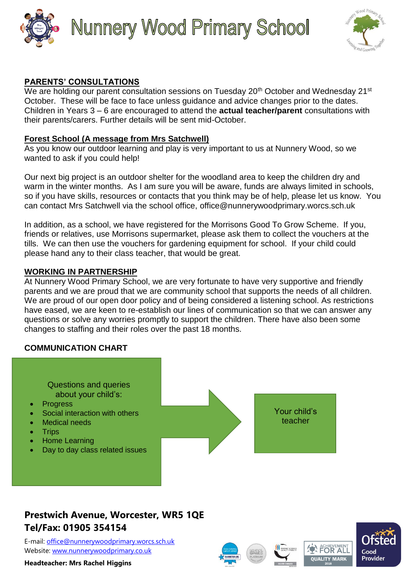

# **Nunnery Wood Primary School**



### **PARENTS' CONSULTATIONS**

We are holding our parent consultation sessions on Tuesday 20<sup>th</sup> October and Wednesday 21<sup>st</sup> October. These will be face to face unless guidance and advice changes prior to the dates. Children in Years 3 – 6 are encouraged to attend the **actual teacher/parent** consultations with their parents/carers. Further details will be sent mid-October.

#### **Forest School (A message from Mrs Satchwell)**

As you know our outdoor learning and play is very important to us at Nunnery Wood, so we wanted to ask if you could help!

Our next big project is an outdoor shelter for the woodland area to keep the children dry and warm in the winter months. As I am sure you will be aware, funds are always limited in schools, so if you have skills, resources or contacts that you think may be of help, please let us know. You can contact Mrs Satchwell via the school office, [office@nunnerywoodprimary.worcs.sch.uk](mailto:office@nunnerywoodprimary.worcs.sch.uk)

In addition, as a school, we have registered for the Morrisons Good To Grow Scheme. If you, friends or relatives, use Morrisons supermarket, please ask them to collect the vouchers at the tills. We can then use the vouchers for gardening equipment for school. If your child could please hand any to their class teacher, that would be great.

### **WORKING IN PARTNERSHIP**

At Nunnery Wood Primary School, we are very fortunate to have very supportive and friendly parents and we are proud that we are community school that supports the needs of all children. We are proud of our open door policy and of being considered a listening school. As restrictions have eased, we are keen to re-establish our lines of communication so that we can answer any questions or solve any worries promptly to support the children. There have also been some changes to staffing and their roles over the past 18 months.

### **COMMUNICATION CHART**

Questions and queries about your child's:

- **Progress**
- Social interaction with others
- **Medical needs**
- **Trips**
- Home Learning
- Day to day class related issues



Your child's teacher

# **Prestwich Avenue, Worcester, WR5 1QE Tel/Fax: 01905 354154**

E-mail: [office@nunnerywoodprimary.worcs.sch.uk](mailto:office@nunnerywoodprimary.worcs.sch.uk) Website: [www.nunnerywoodprimary.co.uk](http://www.nunnerywoodprimary.worcs.sch.uk/)







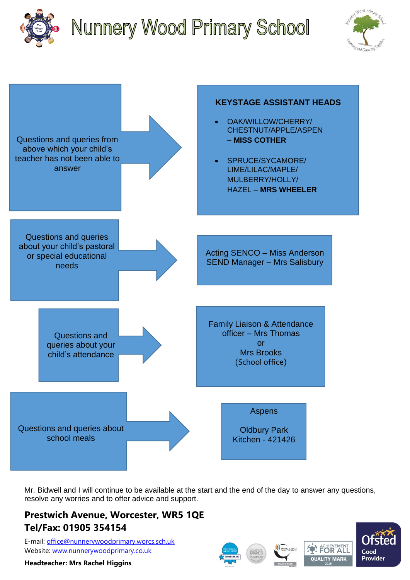

# **Nunnery Wood Primary School**





Mr. Bidwell and I will continue to be available at the start and the end of the day to answer any questions, resolve any worries and to offer advice and support.

## **Prestwich Avenue, Worcester, WR5 1QE Tel/Fax: 01905 354154**

E-mail: [office@nunnerywoodprimary.worcs.sch.uk](mailto:office@nunnerywoodprimary.worcs.sch.uk) Website: [www.nunnerywoodprimary.co.uk](http://www.nunnerywoodprimary.worcs.sch.uk/)